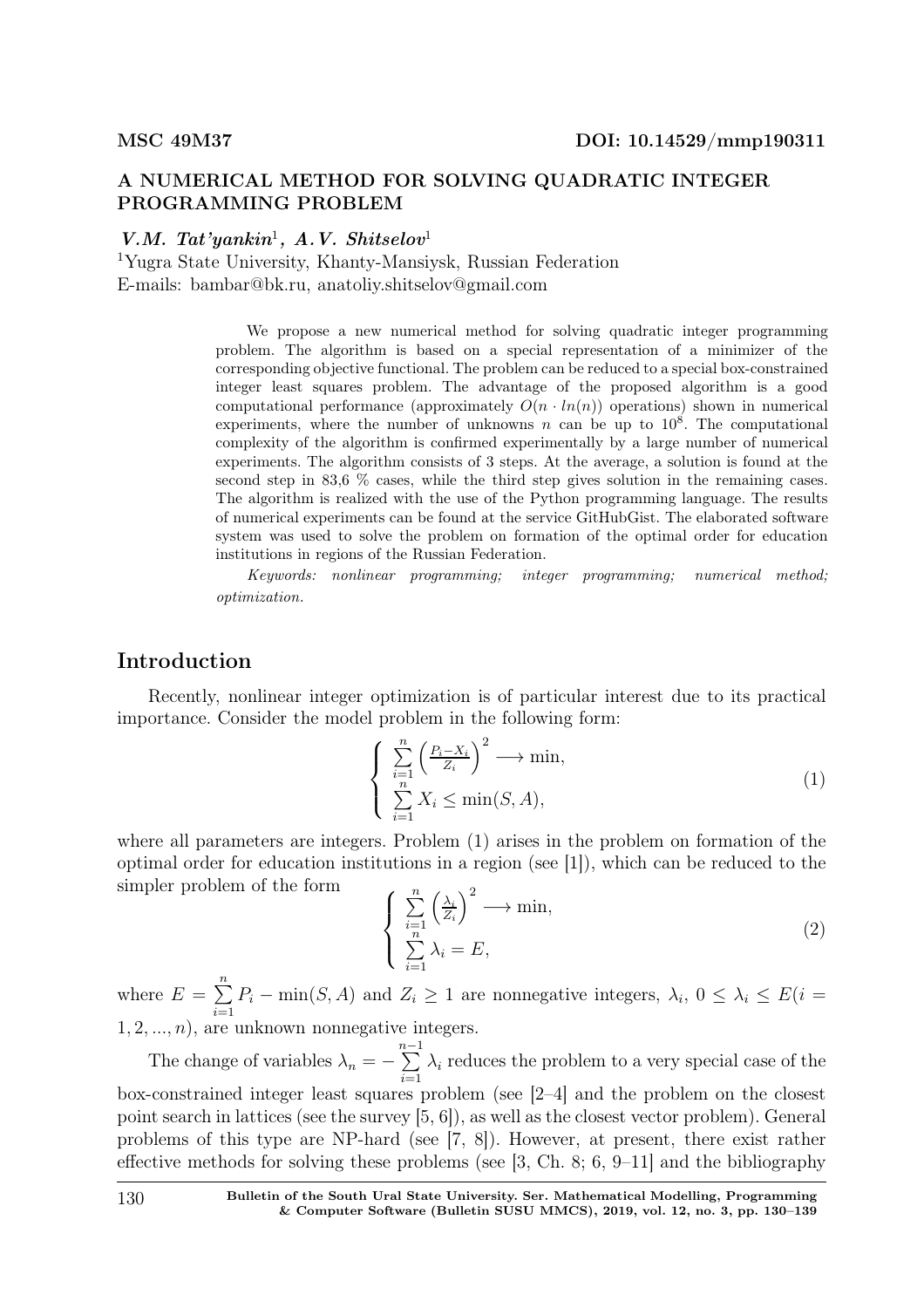### A NUMERICAL METHOD FOR SOLVING QUADRATIC INTEGER PROGRAMMING PROBLEM

### V.M. Tat'yankin<sup>1</sup>, A.V. Shitselov<sup>1</sup>

<sup>1</sup>Yugra State University, Khanty-Mansiysk, Russian Federation E-mails: bambar@bk.ru, anatoliy.shitselov@gmail.com

> We propose a new numerical method for solving quadratic integer programming problem. The algorithm is based on a special representation of a minimizer of the corresponding objective functional. The problem can be reduced to a special box-constrained integer least squares problem. The advantage of the proposed algorithm is a good computational performance (approximately  $O(n \cdot ln(n))$ ) operations) shown in numerical experiments, where the number of unknowns n can be up to  $10^8$ . The computational complexity of the algorithm is confirmed experimentally by a large number of numerical experiments. The algorithm consists of 3 steps. At the average, a solution is found at the second step in 83,6 % cases, while the third step gives solution in the remaining cases. The algorithm is realized with the use of the Python programming language. The results of numerical experiments can be found at the service GitHubGist. The elaborated software system was used to solve the problem on formation of the optimal order for education institutions in regions of the Russian Federation.

> Keywords: nonlinear programming; integer programming; numerical method; optimization.

# Introduction

Recently, nonlinear integer optimization is of particular interest due to its practical importance. Consider the model problem in the following form:

$$
\begin{cases} \sum_{i=1}^{n} \left( \frac{P_i - X_i}{Z_i} \right)^2 \longrightarrow \min, \\ \sum_{i=1}^{n} X_i \le \min(S, A), \end{cases} \tag{1}
$$

where all parameters are integers. Problem (1) arises in the problem on formation of the optimal order for education institutions in a region (see [1]), which can be reduced to the simpler problem of the form

$$
\begin{cases} \sum_{i=1}^{n} \left(\frac{\lambda_i}{Z_i}\right)^2 \longrightarrow \min, \\ \sum_{i=1}^{n} \lambda_i = E, \end{cases}
$$
 (2)

where  $E = \sum_{n=1}^{\infty}$  $i=1$  $P_i - \min(S, A)$  and  $Z_i \geq 1$  are nonnegative integers,  $\lambda_i$ ,  $0 \leq \lambda_i \leq E(i =$  $1, 2, ..., n$ , are unknown nonnegative integers.

The change of variables  $\lambda_n = \sum_{ }^{n-1}$  $\frac{i=1}{i}$  $\lambda_i$  reduces the problem to a very special case of the box-constrained integer least squares problem (see [2–4] and the problem on the closest point search in lattices (see the survey [5, 6]), as well as the closest vector problem). General problems of this type are NP-hard (see [7, 8]). However, at present, there exist rather effective methods for solving these problems (see [3, Ch. 8; 6, 9–11] and the bibliography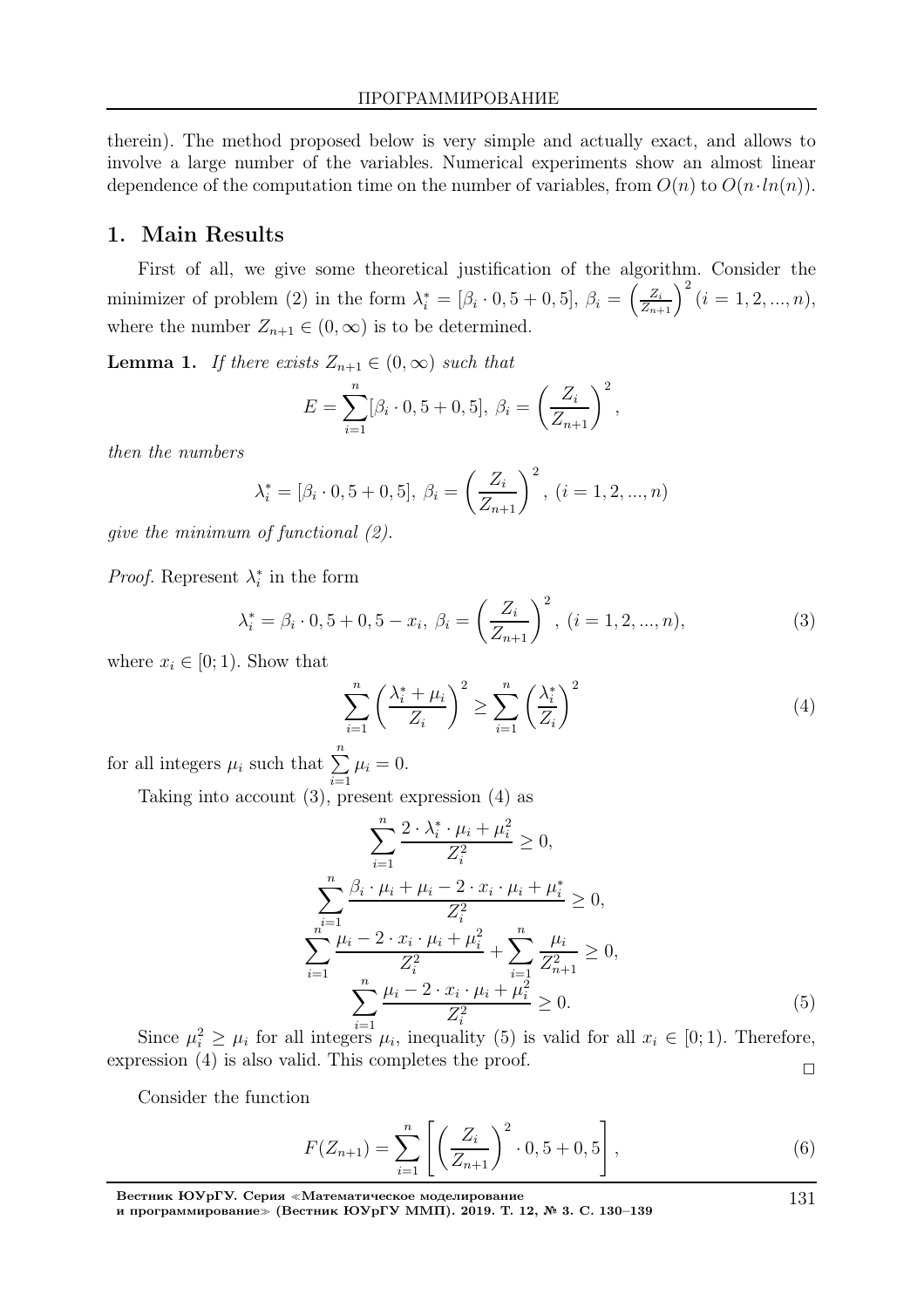therein). The method proposed below is very simple and actually exact, and allows to involve a large number of the variables. Numerical experiments show an almost linear dependence of the computation time on the number of variables, from  $O(n)$  to  $O(n \cdot ln(n))$ .

#### 1. Main Results

First of all, we give some theoretical justification of the algorithm. Consider the minimizer of problem (2) in the form  $\lambda_i^* = [\beta_i \cdot 0, 5 + 0, 5], \ \beta_i = \left(\frac{Z_i}{Z_{n+1}}\right)^2 (i = 1, 2, ..., n),$ where the number  $Z_{n+1} \in (0, \infty)$  is to be determined.

**Lemma 1.** If there exists  $Z_{n+1} \in (0, \infty)$  such that

$$
E = \sum_{i=1}^{n} [\beta_i \cdot 0, 5 + 0, 5], \ \beta_i = \left(\frac{Z_i}{Z_{n+1}}\right)^2,
$$

then the numbers

$$
\lambda_i^* = [\beta_i \cdot 0, 5 + 0, 5], \ \beta_i = \left(\frac{Z_i}{Z_{n+1}}\right)^2, \ (i = 1, 2, ..., n)
$$

give the minimum of functional (2).

*Proof.* Represent  $\lambda_i^*$  $i$  in the form

$$
\lambda_i^* = \beta_i \cdot 0, 5 + 0, 5 - x_i, \ \beta_i = \left(\frac{Z_i}{Z_{n+1}}\right)^2, \ (i = 1, 2, ..., n), \tag{3}
$$

where  $x_i \in [0; 1)$ . Show that

$$
\sum_{i=1}^{n} \left( \frac{\lambda_i^* + \mu_i}{Z_i} \right)^2 \ge \sum_{i=1}^{n} \left( \frac{\lambda_i^*}{Z_i} \right)^2 \tag{4}
$$

for all integers  $\mu_i$  such that  $\sum_{n=1}^n$  $\frac{i=1}{i}$  $\mu_i = 0.$ 

Taking into account (3), present expression (4) as

$$
\sum_{i=1}^{n} \frac{2 \cdot \lambda_i^* \cdot \mu_i + \mu_i^2}{Z_i^2} \ge 0,
$$
\n
$$
\sum_{i=1}^{n} \frac{\beta_i \cdot \mu_i + \mu_i - 2 \cdot x_i \cdot \mu_i + \mu_i^*}{Z_i^2} \ge 0,
$$
\n
$$
\sum_{i=1}^{n^{i-1}} \frac{\mu_i - 2 \cdot x_i \cdot \mu_i + \mu_i^2}{Z_i^2} + \sum_{i=1}^{n} \frac{\mu_i}{Z_{n+1}^2} \ge 0,
$$
\n
$$
\sum_{i=1}^{n} \frac{\mu_i - 2 \cdot x_i \cdot \mu_i + \mu_i^2}{Z_i^2} \ge 0.
$$
\n(5)

Since  $\mu_i^2 \geq \mu_i$  for all integers  $\mu_i$ , inequality (5) is valid for all  $x_i \in [0,1)$ . Therefore, expression (4) is also valid. This completes the proof.  $\Box$ 

Consider the function

$$
F(Z_{n+1}) = \sum_{i=1}^{n} \left[ \left( \frac{Z_i}{Z_{n+1}} \right)^2 \cdot 0, 5 + 0, 5 \right],
$$
 (6)

Вестник ЮУрГУ. Серия <sup>≪</sup>Математическое моделирование и программирование<sup>≫</sup> (Вестник ЮУрГУ ММП). 2019. Т. 12, № 3. С. 130–139

131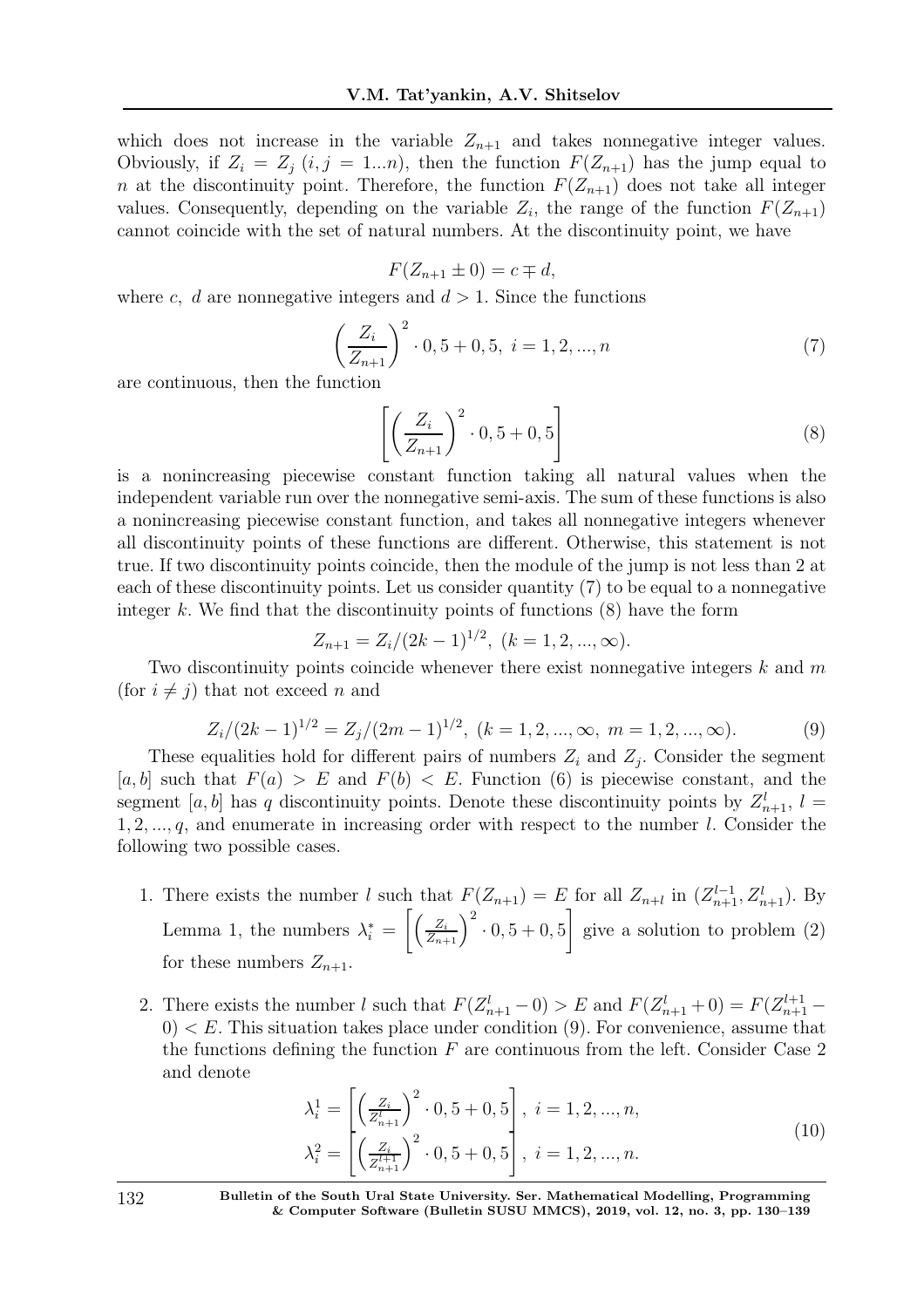which does not increase in the variable  $Z_{n+1}$  and takes nonnegative integer values. Obviously, if  $Z_i = Z_j$   $(i, j = 1...n)$ , then the function  $F(Z_{n+1})$  has the jump equal to n at the discontinuity point. Therefore, the function  $F(Z_{n+1})$  does not take all integer values. Consequently, depending on the variable  $Z_i$ , the range of the function  $F(Z_{n+1})$ cannot coincide with the set of natural numbers. At the discontinuity point, we have

$$
F(Z_{n+1} \pm 0) = c \mp d,
$$

where c, d are nonnegative integers and  $d > 1$ . Since the functions

$$
\left(\frac{Z_i}{Z_{n+1}}\right)^2 \cdot 0, 5+0, 5, i = 1, 2, ..., n
$$
\n(7)

are continuous, then the function

$$
\left[ \left( \frac{Z_i}{Z_{n+1}} \right)^2 \cdot 0, 5+0, 5 \right] \tag{8}
$$

is a nonincreasing piecewise constant function taking all natural values when the independent variable run over the nonnegative semi-axis. The sum of these functions is also a nonincreasing piecewise constant function, and takes all nonnegative integers whenever all discontinuity points of these functions are different. Otherwise, this statement is not true. If two discontinuity points coincide, then the module of the jump is not less than 2 at each of these discontinuity points. Let us consider quantity (7) to be equal to a nonnegative integer k. We find that the discontinuity points of functions  $(8)$  have the form

$$
Z_{n+1} = Z_i/(2k-1)^{1/2}, \ (k = 1, 2, ..., \infty).
$$

Two discontinuity points coincide whenever there exist nonnegative integers  $k$  and  $m$ (for  $i \neq j$ ) that not exceed n and

$$
Z_i/(2k-1)^{1/2} = Z_j/(2m-1)^{1/2}, \ (k = 1, 2, ..., \infty, \ m = 1, 2, ..., \infty).
$$
 (9)

These equalities hold for different pairs of numbers  $Z_i$  and  $Z_j$ . Consider the segment [a, b] such that  $F(a) > E$  and  $F(b) < E$ . Function (6) is piecewise constant, and the segment [a, b] has q discontinuity points. Denote these discontinuity points by  $Z_{n+1}^l$ ,  $l =$  $1, 2, \ldots, q$ , and enumerate in increasing order with respect to the number l. Consider the following two possible cases.

- 1. There exists the number l such that  $F(Z_{n+1}) = E$  for all  $Z_{n+l}$  in  $(Z_{n+1}^{l-1}, Z_{n+1}^l)$ . By Lemma 1, the numbers  $\lambda_i^* = \left[ \left( \frac{Z_i}{Z_{n+1}} \right)^2 \cdot 0, 5+0, 5 \right]$ 1 give a solution to problem (2) for these numbers  $Z_{n+1}$ .
- 2. There exists the number l such that  $F(Z_{n+1}^l 0) > E$  and  $F(Z_{n+1}^l + 0) = F(Z_{n+1}^{l+1} 0)$  $0 < E$ . This situation takes place under condition  $(9)$ . For convenience, assume that the functions defining the function  $F$  are continuous from the left. Consider Case 2 and denote

$$
\lambda_i^1 = \left[ \left( \frac{Z_i}{Z_{n+1}^1} \right)^2 \cdot 0, 5 + 0, 5 \right], \ i = 1, 2, ..., n,
$$
  

$$
\lambda_i^2 = \left[ \left( \frac{Z_i}{Z_{n+1}^{l+1}} \right)^2 \cdot 0, 5 + 0, 5 \right], \ i = 1, 2, ..., n.
$$
 (10)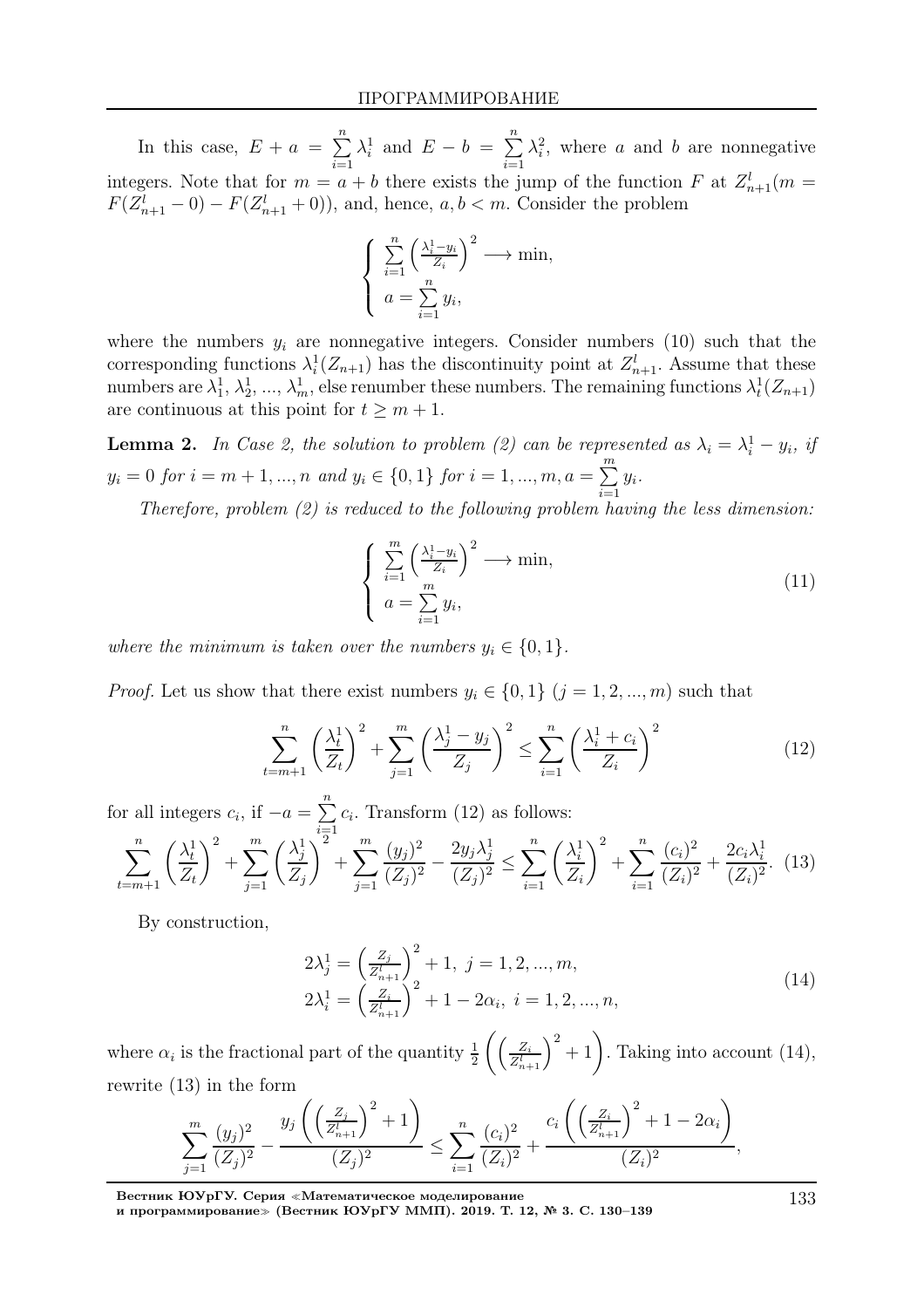In this case,  $E + a = \sum_{n=1}^{\infty}$  $i=1$  $\lambda_i^1$  and  $E-b = \sum^n$  $i=1$  $\lambda_i^2$ , where a and b are nonnegative integers. Note that for  $m = a + b$  there exists the jump of the function F at  $Z_{n+1}^l(m = a + b)$  $F(Z_{n+1}^l - 0) - F(Z_{n+1}^l + 0)$ , and, hence,  $a, b < m$ . Consider the problem

$$
\begin{cases} \sum_{i=1}^{n} \left( \frac{\lambda_i^1 - y_i}{Z_i} \right)^2 \longrightarrow \min, \\ a = \sum_{i=1}^{n} y_i, \end{cases}
$$

where the numbers  $y_i$  are nonnegative integers. Consider numbers (10) such that the corresponding functions  $\lambda_i^1(Z_{n+1})$  has the discontinuity point at  $Z_{n+1}^l$ . Assume that these numbers are  $\lambda_1^1, \lambda_2^1, ..., \lambda_m^1$ , else renumber these numbers. The remaining functions  $\lambda_t^1(Z_{n+1})$ are continuous at this point for  $t \geq m + 1$ .

**Lemma 2.** In Case 2, the solution to problem (2) can be represented as  $\lambda_i = \lambda_i^1 - y_i$ , if  $y_i = 0 \text{ for } i = m+1, ..., n \text{ and } y_i \in \{0,1\} \text{ for } i = 1, ..., m, a = \sum^{m}$  $\frac{i=1}{i}$  $y_i$ .

Therefore, problem  $(2)$  is reduced to the following problem having the less dimension:

$$
\begin{cases} \sum_{i=1}^{m} \left( \frac{\lambda_i^1 - y_i}{Z_i} \right)^2 \longrightarrow \min, \\ a = \sum_{i=1}^{m} y_i, \end{cases}
$$
 (11)

where the minimum is taken over the numbers  $y_i \in \{0, 1\}$ .

*Proof.* Let us show that there exist numbers  $y_i \in \{0, 1\}$   $(j = 1, 2, ..., m)$  such that

$$
\sum_{t=m+1}^{n} \left(\frac{\lambda_t^1}{Z_t}\right)^2 + \sum_{j=1}^{m} \left(\frac{\lambda_j^1 - y_j}{Z_j}\right)^2 \le \sum_{i=1}^{n} \left(\frac{\lambda_i^1 + c_i}{Z_i}\right)^2 \tag{12}
$$

for all integers  $c_i$ , if  $-a = \sum_{i=1}^{n} a_i$  $i=1$  $c_i$ . Transform  $(12)$  as follows:

$$
\sum_{t=m+1}^{n} \left(\frac{\lambda_t^1}{Z_t}\right)^2 + \sum_{j=1}^{m} \left(\frac{\lambda_j^1}{Z_j}\right)^2 + \sum_{j=1}^{m} \frac{(y_j)^2}{(Z_j)^2} - \frac{2y_j\lambda_j^1}{(Z_j)^2} \le \sum_{i=1}^{n} \left(\frac{\lambda_i^1}{Z_i}\right)^2 + \sum_{i=1}^{n} \frac{(c_i)^2}{(Z_i)^2} + \frac{2c_i\lambda_i^1}{(Z_i)^2}.\tag{13}
$$

By construction,

$$
2\lambda_j^1 = \left(\frac{Z_j}{Z_{n+1}^l}\right)^2 + 1, \ j = 1, 2, ..., m,
$$
  
\n
$$
2\lambda_i^1 = \left(\frac{Z_i}{Z_{n+1}^l}\right)^2 + 1 - 2\alpha_i, \ i = 1, 2, ..., n,
$$
\n(14)

where  $\alpha_i$  is the fractional part of the quantity  $\frac{1}{2} \left( \left( \frac{Z_i}{Z_{n-1}^l} \right)$  $\left(\frac{Z_i}{Z_{n+1}^l}\right)^2 + 1$ . Taking into account (14), rewrite (13) in the form

$$
\sum_{j=1}^m \frac{(y_j)^2}{(Z_j)^2} - \frac{y_j\left(\left(\frac{Z_j}{Z_{n+1}^l}\right)^2 + 1\right)}{(Z_j)^2} \le \sum_{i=1}^n \frac{(c_i)^2}{(Z_i)^2} + \frac{c_i\left(\left(\frac{Z_i}{Z_{n+1}^l}\right)^2 + 1 - 2\alpha_i\right)}{(Z_i)^2},
$$

Вестник ЮУрГУ. Серия <sup>≪</sup>Математическое моделирование

и программирование<sup>≫</sup> (Вестник ЮУрГУ ММП). 2019. Т. 12, № 3. С. 130–139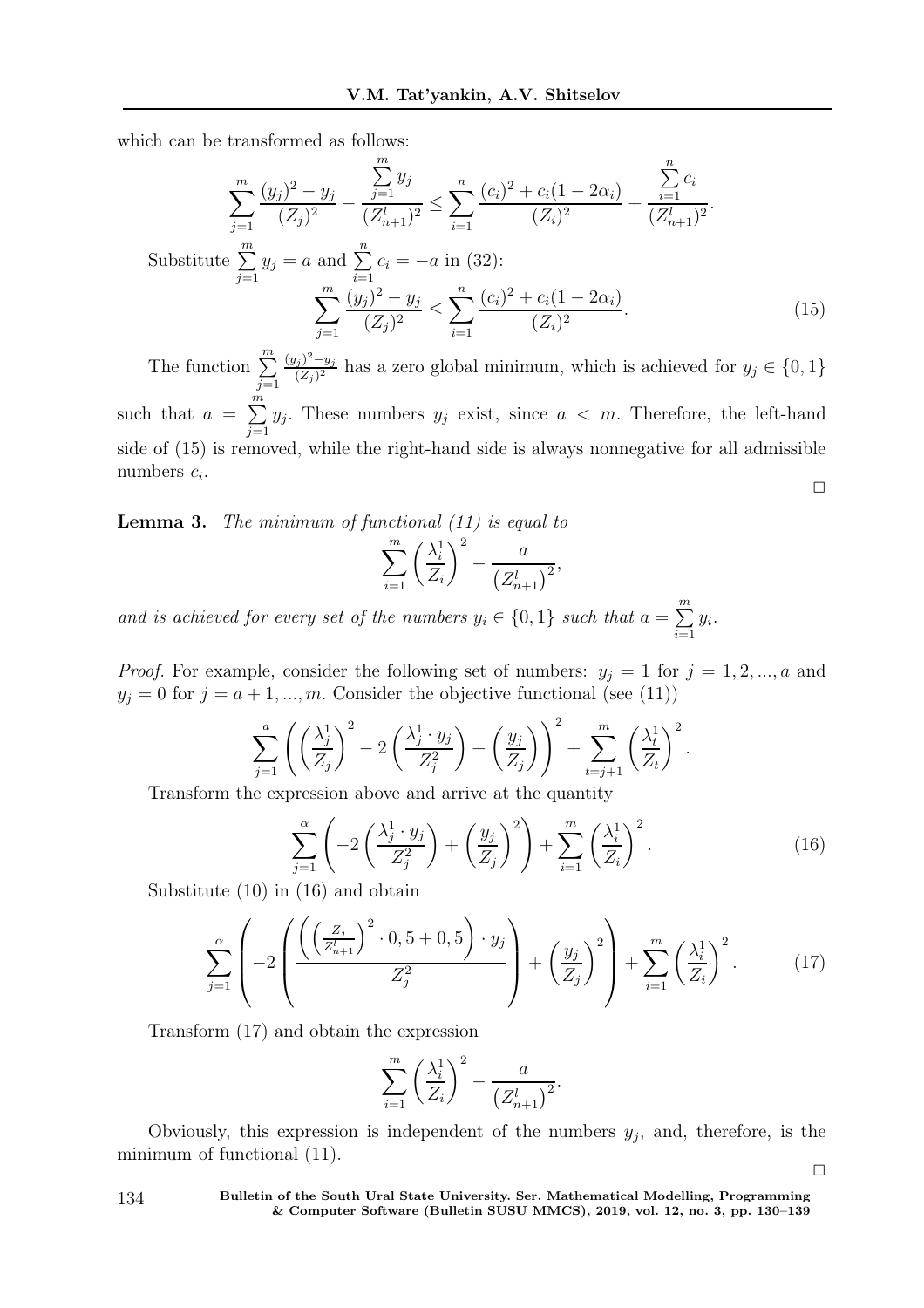which can be transformed as follows:

$$
\sum_{j=1}^{m} \frac{(y_j)^2 - y_j}{(Z_j)^2} - \frac{\sum_{j=1}^{m} y_j}{(Z_{n+1})^2} \le \sum_{i=1}^{n} \frac{(c_i)^2 + c_i(1 - 2\alpha_i)}{(Z_i)^2} + \frac{\sum_{i=1}^{n} c_i}{(Z_{n+1})^2}.
$$
\nSubstitute  $\sum_{j=1}^{m} y_j = a$  and  $\sum_{i=1}^{n} c_i = -a$  in (32):  
\n
$$
\sum_{j=1}^{m} \frac{(y_j)^2 - y_j}{(Z_j)^2} \le \sum_{i=1}^{n} \frac{(c_i)^2 + c_i(1 - 2\alpha_i)}{(Z_i)^2}.
$$
\n(15)

The function  $\sum_{m=1}^{m}$  $j=1$  $(y_j)^2 - y_j$  $\frac{(Z_j - Y_j)}{(Z_j)^2}$  has a zero global minimum, which is achieved for  $y_j \in \{0, 1\}$ such that  $a = \sum_{n=1}^{\infty}$  $j=1$  $y_j$ . These numbers  $y_j$  exist, since  $a < m$ . Therefore, the left-hand side of (15) is removed, while the right-hand side is always nonnegative for all admissible numbers  $c_i$ .  $\Box$ 

**Lemma 3.** The minimum of functional  $(11)$  is equal to

$$
\sum_{i=1}^{m} \left(\frac{\lambda_i^1}{Z_i}\right)^2 - \frac{a}{\left(Z_{n+1}^l\right)^2},
$$

and is achieved for every set of the numbers  $y_i \in \{0,1\}$  such that  $a = \sum_{i=1}^{m}$  $\frac{i=1}{i}$  $y_i$ .

*Proof.* For example, consider the following set of numbers:  $y_j = 1$  for  $j = 1, 2, ..., a$  and  $y_j = 0$  for  $j = a + 1, ..., m$ . Consider the objective functional (see (11))

$$
\sum_{j=1}^{a} \left( \left( \frac{\lambda_j^1}{Z_j} \right)^2 - 2 \left( \frac{\lambda_j^1 \cdot y_j}{Z_j^2} \right) + \left( \frac{y_j}{Z_j} \right) \right)^2 + \sum_{t=j+1}^{m} \left( \frac{\lambda_t^1}{Z_t} \right)^2.
$$

Transform the expression above and arrive at the quantity

$$
\sum_{j=1}^{\alpha} \left( -2\left(\frac{\lambda_j^1 \cdot y_j}{Z_j^2}\right) + \left(\frac{y_j}{Z_j}\right)^2 \right) + \sum_{i=1}^{m} \left(\frac{\lambda_i^1}{Z_i}\right)^2.
$$
\n(16)

Substitute (10) in (16) and obtain

$$
\sum_{j=1}^{\alpha} \left( -2 \left( \frac{\left( \left( \frac{Z_j}{Z_{n+1}^l} \right)^2 \cdot 0, 5 + 0, 5 \right) \cdot y_j}{Z_j^2} \right) + \left( \frac{y_j}{Z_j} \right)^2 \right) + \sum_{i=1}^{m} \left( \frac{\lambda_i^1}{Z_i} \right)^2.
$$
 (17)

Transform (17) and obtain the expression

$$
\sum_{i=1}^{m} \left(\frac{\lambda_i^1}{Z_i}\right)^2 - \frac{a}{\left(Z_{n+1}^l\right)^2}.
$$

Obviously, this expression is independent of the numbers  $y_j$ , and, therefore, is the minimum of functional (11).  $\Box$ 

134 Bulletin of the South Ural State University. Ser. Mathematical Modelling, Programming & Computer Software (Bulletin SUSU MMCS), 2019, vol. 12, no. 3, pp. 130–139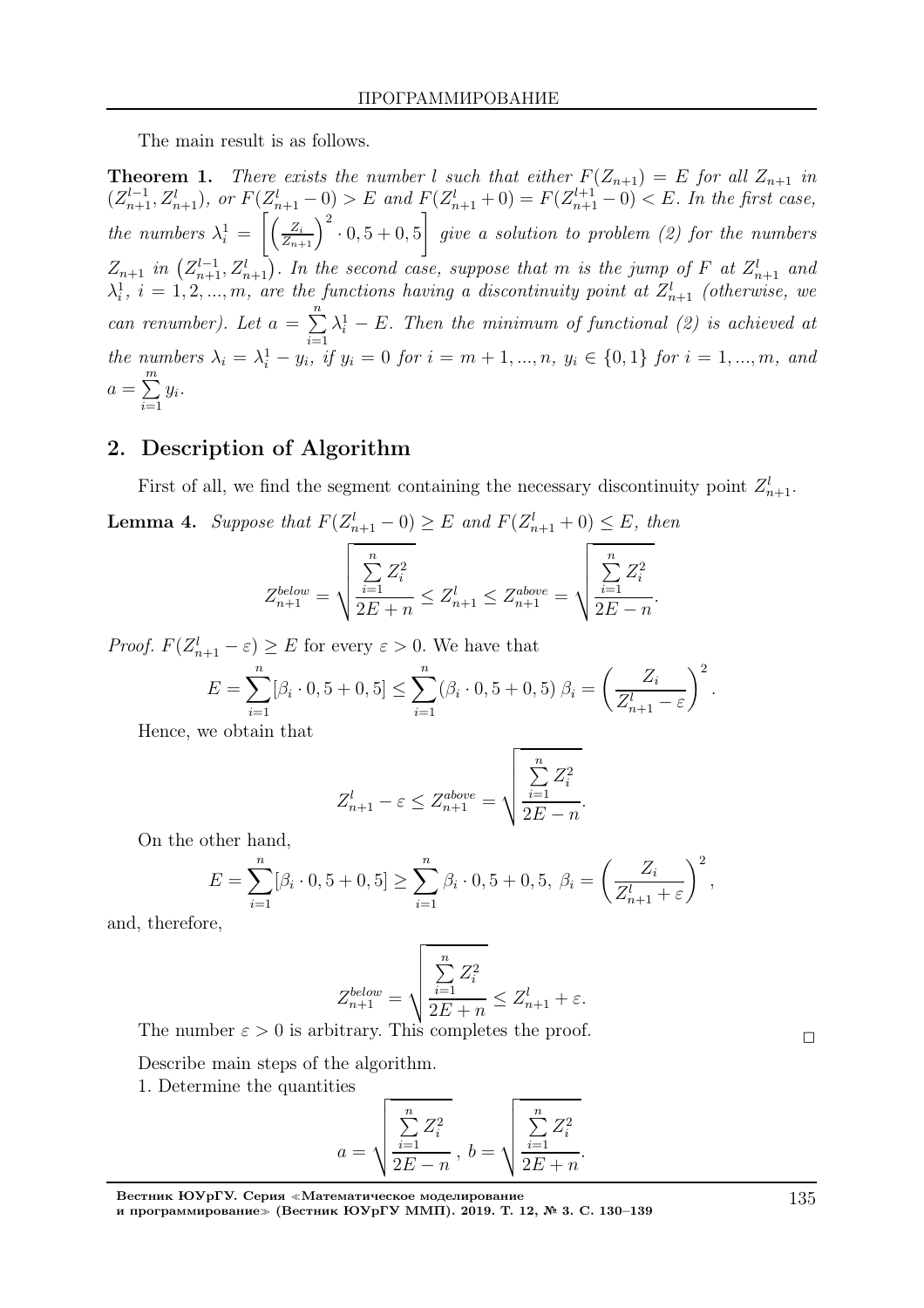The main result is as follows.

**Theorem 1.** There exists the number l such that either  $F(Z_{n+1}) = E$  for all  $Z_{n+1}$  in  $(Z_{n+1}^{l-1}, Z_{n+1}^l)$ , or  $F(Z_{n+1}^l - 0) > E$  and  $F(Z_{n+1}^l + 0) = F(Z_{n+1}^{l+1} - 0) < E$ . In the first case, the numbers  $\lambda_i^1 = \left[ \left( \frac{Z_i}{Z_{n+1}} \right)^2 \cdot 0, 5 + 0, 5 \right]$ 1 give a solution to problem (2) for the numbers  $Z_{n+1}$  in  $(Z_{n+1}^{l-1}, Z_{n+1}^{l})$ . In the second case, suppose that m is the jump of F at  $Z_{n+1}^{l}$  and  $\lambda_i^1$ ,  $i = 1, 2, ..., m$ , are the functions having a discontinuity point at  $Z_{n+1}^l$  (otherwise, we can renumber). Let  $a = \sum_{n=1}^{\infty}$  $\frac{i=1}{i}$  $\lambda_i^1 - E$ . Then the minimum of functional (2) is achieved at the numbers  $\lambda_i = \lambda_i^1 - y_i$ , if  $y_i = 0$  for  $i = m + 1, ..., n$ ,  $y_i \in \{0, 1\}$  for  $i = 1, ..., m$ , and  $a=\sum_{n=1}^{\infty}$  $\frac{i=1}{i}$  $y_i$ .

### 2. Description of Algorithm

First of all, we find the segment containing the necessary discontinuity point  $Z_{n+1}^l$ . **Lemma 4.** Suppose that  $F(Z_{n+1}^l - 0) \ge E$  and  $F(Z_{n+1}^l + 0) \le E$ , then

$$
Z_{n+1}^{below} = \sqrt{\frac{\sum\limits_{i=1}^{n} Z_i^2}{2E + n}} \leq Z_{n+1}^l \leq Z_{n+1}^{above} = \sqrt{\frac{\sum\limits_{i=1}^{n} Z_i^2}{2E - n}}.
$$

*Proof.*  $F(Z_{n+1}^l - \varepsilon) \ge E$  for every  $\varepsilon > 0$ . We have that

$$
E = \sum_{i=1}^{n} [\beta_i \cdot 0, 5 + 0, 5] \le \sum_{i=1}^{n} (\beta_i \cdot 0, 5 + 0, 5) \beta_i = \left(\frac{Z_i}{Z_{n+1}^l - \varepsilon}\right)^2.
$$

Hence, we obtain that

$$
Z_{n+1}^l - \varepsilon \le Z_{n+1}^{above} = \sqrt{\frac{\sum_{i=1}^n Z_i^2}{2E - n}}.
$$

On the other hand,

$$
E = \sum_{i=1}^{n} [\beta_i \cdot 0, 5 + 0, 5] \ge \sum_{i=1}^{n} \beta_i \cdot 0, 5 + 0, 5, \ \beta_i = \left(\frac{Z_i}{Z_{n+1}^l + \varepsilon}\right)^2,
$$

and, therefore,

$$
Z_{n+1}^{below} = \sqrt{\frac{\sum_{i=1}^{n} Z_i^2}{2E + n}} \le Z_{n+1}^l + \varepsilon.
$$

The number  $\varepsilon > 0$  is arbitrary. This completes the proof.

Describe main steps of the algorithm.

1. Determine the quantities

$$
a = \sqrt{\frac{\sum_{i=1}^{n} Z_i^2}{2E - n}}, \ b = \sqrt{\frac{\sum_{i=1}^{n} Z_i^2}{2E + n}}.
$$

Вестник ЮУрГУ. Серия <sup>≪</sup>Математическое моделирование и программирование<sup>≫</sup> (Вестник ЮУрГУ ММП). 2019. Т. 12, № 3. С. 130–139 135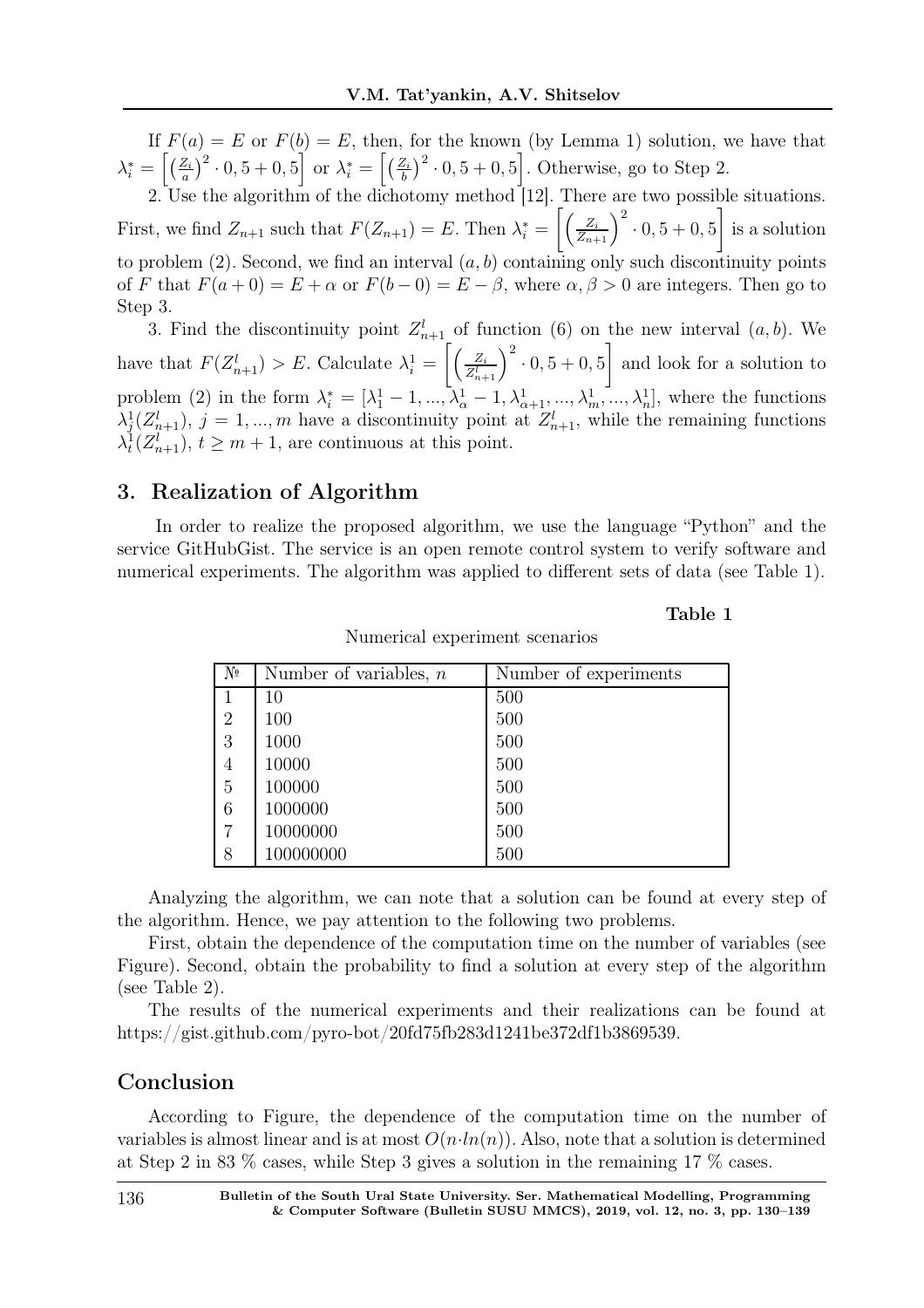If  $F(a) = E$  or  $F(b) = E$ , then, for the known (by Lemma 1) solution, we have that  $\lambda_i^* = \left\lceil \left(\frac{Z_i}{a}\right)\right\rceil$  $\left[\frac{Z_i}{a}\right]^2 \cdot 0, 5 + 0, 5$  or  $\lambda_i^* = \left[\frac{Z_i}{b}\right]$  $\left(\frac{Z_i}{b}\right)^2 \cdot 0, 5 + 0, 5$ . Otherwise, go to Step 2.

2. Use the algorithm of the dichotomy method [12]. There are two possible situations. First, we find  $Z_{n+1}$  such that  $F(Z_{n+1}) = E$ . Then  $\lambda_i^* = \left[ \left( \frac{Z_i}{Z_{n+1}} \right)^2 \cdot 0, 5 + 0, 5 \right]$ 1 is a solution to problem  $(2)$ . Second, we find an interval  $(a, b)$  containing only such discontinuity points of F that  $F(a+0) = E + \alpha$  or  $F(b-0) = E - \beta$ , where  $\alpha, \beta > 0$  are integers. Then go to Step 3.

3. Find the discontinuity point  $Z_{n+1}^l$  of function (6) on the new interval  $(a, b)$ . We have that  $F(Z_{n+1}^l) > E$ . Calculate  $\lambda_i^1 = \left[ \left( \frac{Z_i}{Z_{n+1}^l} \right)$  $\frac{Z_i}{Z_{n+1}^l}$  $\Big)^2 \cdot 0, 5 + 0, 5$ 1 and look for a solution to problem (2) in the form  $\lambda_i^* = [\lambda_1^1 - 1, ..., \lambda_{\alpha}^1 - 1, \lambda_{\alpha+1}^1, ..., \lambda_m^1, ..., \lambda_n^1]$ , where the functions  $\lambda_j^1(Z_{n+1}^l)$ ,  $j = 1, ..., m$  have a discontinuity point at  $Z_{n+1}^l$ , while the remaining functions  $\lambda_t^1(Z_{n+1}^l), t \geq m+1$ , are continuous at this point.

# 3. Realization of Algorithm

In order to realize the proposed algorithm, we use the language "Python" and the service GitHubGist. The service is an open remote control system to verify software and numerical experiments. The algorithm was applied to different sets of data (see Table 1).

Table 1

| $N_{\rm P}$    | Number of variables, $n$ | Number of experiments |
|----------------|--------------------------|-----------------------|
| 1              | 10                       | 500                   |
| $\overline{2}$ | 100                      | 500                   |
| 3              | 1000                     | 500                   |
| $\overline{4}$ | 10000                    | 500                   |
| 5              | 100000                   | 500                   |
| 6              | 1000000                  | 500                   |
| 7              | 10000000                 | 500                   |
| 8              | 100000000                | 500                   |

Numerical experiment scenarios

Analyzing the algorithm, we can note that a solution can be found at every step of the algorithm. Hence, we pay attention to the following two problems.

First, obtain the dependence of the computation time on the number of variables (see Figure). Second, obtain the probability to find a solution at every step of the algorithm (see Table 2).

The results of the numerical experiments and their realizations can be found at https://gist.github.com/pyro-bot/20fd75fb283d1241be372df1b3869539.

# Conclusion

According to Figure, the dependence of the computation time on the number of variables is almost linear and is at most  $O(n \cdot ln(n))$ . Also, note that a solution is determined at Step 2 in 83 % cases, while Step 3 gives a solution in the remaining 17 % cases.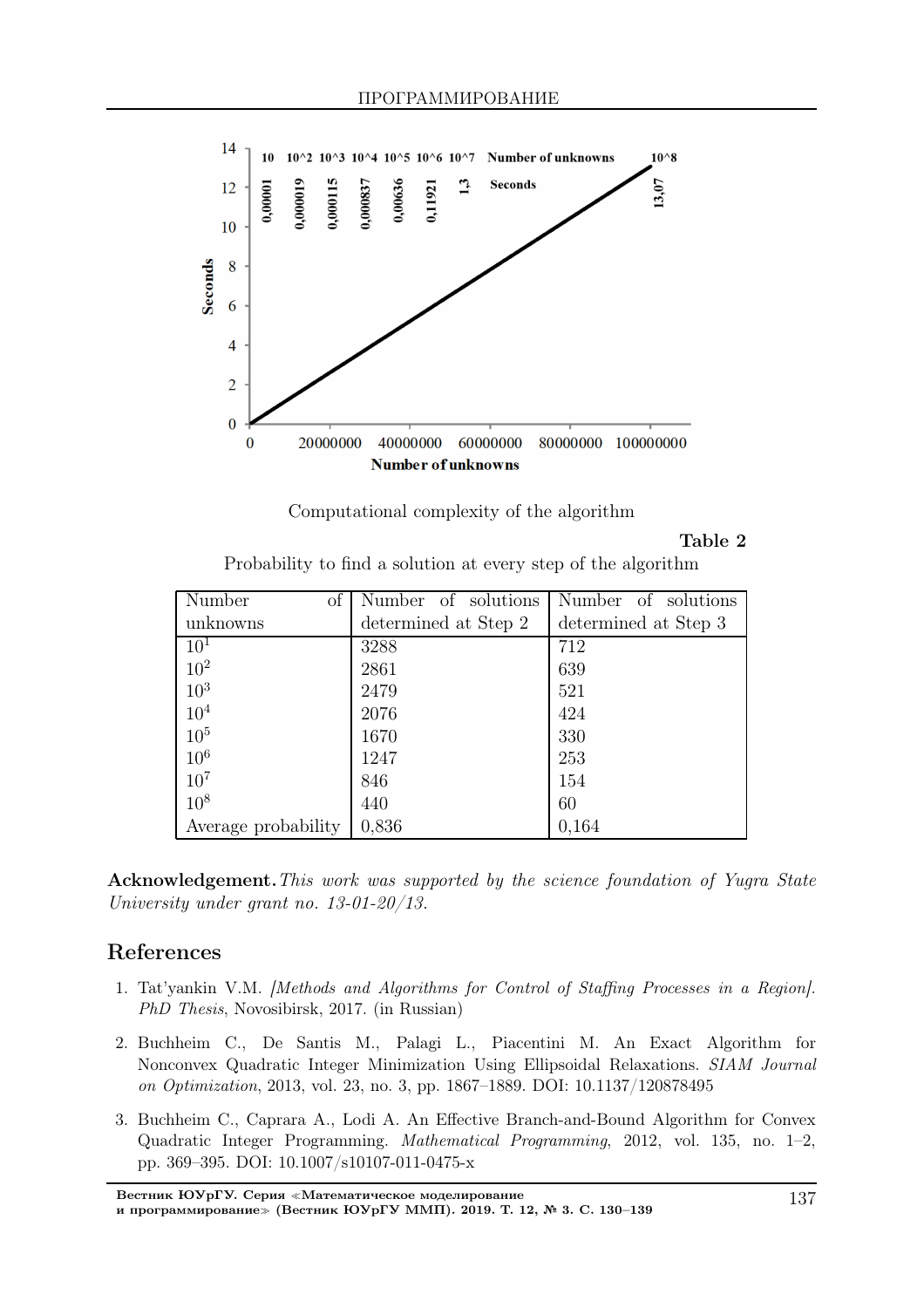



#### Table 2

Probability to find a solution at every step of the algorithm

| of<br>Number        | Number of solutions  | Number of solutions  |
|---------------------|----------------------|----------------------|
| unknowns            | determined at Step 2 | determined at Step 3 |
| 10 <sup>1</sup>     | 3288                 | 712                  |
| $10^{2}$            | 2861                 | 639                  |
| 10 <sup>3</sup>     | 2479                 | 521                  |
| 10 <sup>4</sup>     | 2076                 | 424                  |
| 10 <sup>5</sup>     | 1670                 | 330                  |
| 10 <sup>6</sup>     | 1247                 | 253                  |
| $10^{7}$            | 846                  | 154                  |
| $10^{8}$            | 440                  | 60                   |
| Average probability | 0,836                | 0,164                |

Acknowledgement. This work was supported by the science foundation of Yugra State University under grant no. 13-01-20/13.

# References

- 1. Tat'yankin V.M. [Methods and Algorithms for Control of Staffing Processes in a Region]. PhD Thesis, Novosibirsk, 2017. (in Russian)
- 2. Buchheim C., De Santis M., Palagi L., Piacentini M. An Exact Algorithm for Nonconvex Quadratic Integer Minimization Using Ellipsoidal Relaxations. SIAM Journal on Optimization, 2013, vol. 23, no. 3, pp. 1867–1889. DOI: 10.1137/120878495
- 3. Buchheim C., Caprara A., Lodi A. An Effective Branch-and-Bound Algorithm for Convex Quadratic Integer Programming. Mathematical Programming, 2012, vol. 135, no. 1–2, pp. 369–395. DOI: 10.1007/s10107-011-0475-x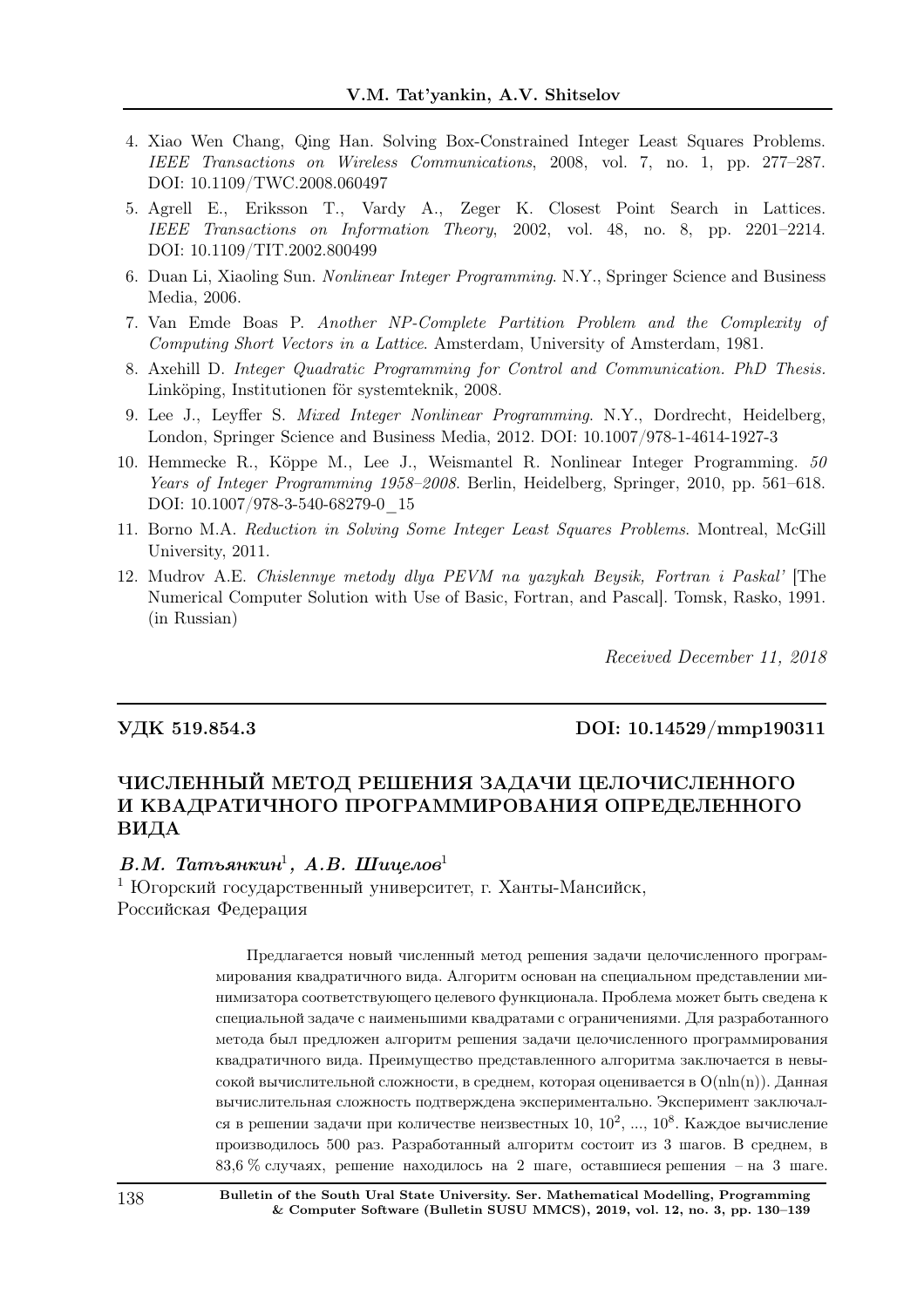- 4. Xiao Wen Chang, Qing Han. Solving Box-Constrained Integer Least Squares Problems. IEEE Transactions on Wireless Communications, 2008, vol. 7, no. 1, pp. 277–287. DOI: 10.1109/TWC.2008.060497
- 5. Agrell E., Eriksson T., Vardy A., Zeger K. Closest Point Search in Lattices. IEEE Transactions on Information Theory, 2002, vol. 48, no. 8, pp. 2201–2214. DOI: 10.1109/TIT.2002.800499
- 6. Duan Li, Xiaoling Sun. Nonlinear Integer Programming. N.Y., Springer Science and Business Media, 2006.
- 7. Van Emde Boas P. Another NP-Complete Partition Problem and the Complexity of Computing Short Vectors in a Lattice. Amsterdam, University of Amsterdam, 1981.
- 8. Axehill D. Integer Quadratic Programming for Control and Communication. PhD Thesis. Linköping, Institutionen för systemteknik, 2008.
- 9. Lee J., Leyffer S. Mixed Integer Nonlinear Programming. N.Y., Dordrecht, Heidelberg, London, Springer Science and Business Media, 2012. DOI: 10.1007/978-1-4614-1927-3
- 10. Hemmecke R., Köppe M., Lee J., Weismantel R. Nonlinear Integer Programming.  $50$ Years of Integer Programming 1958–2008. Berlin, Heidelberg, Springer, 2010, pp. 561–618. DOI: 10.1007/978-3-540-68279-0\_15
- 11. Borno M.A. Reduction in Solving Some Integer Least Squares Problems. Montreal, McGill University, 2011.
- 12. Mudrov A.E. Chislennye metody dlya PEVM na yazykah Beysik, Fortran i Paskal' [The Numerical Computer Solution with Use of Basic, Fortran, and Pascal]. Tomsk, Rasko, 1991. (in Russian)

Received December 11, 2018

#### УДК 519.854.3 DOI: 10.14529/mmp190311

# ЧИСЛЕННЫЙ МЕТОД РЕШЕНИЯ ЗАДАЧИ ЦЕЛОЧИСЛЕННОГО И КВАДРАТИЧНОГО ПРОГРАММИРОВАНИЯ ОПРЕДЕЛЕННОГО ВИДА

#### $B.M.$  Татьянкин<sup>1</sup>, А.В. Шицелов<sup>1</sup>

<sup>1</sup> Югорский государственный университет, г. Ханты-Мансийск, Российская Федерация

> Предлагается новый численный метод решения задачи целочисленного программирования квадратичного вида. Алгоритм основан на специальном представлении минимизатора соответствующего целевого функционала. Проблема может быть сведена к специальной задаче с наименьшими квадратами с ограничениями. Для разработанного метода был предложен алгоритм решения задачи целочисленного программирования квадратичного вида. Преимущество представленного алгоритма заключается в невысокой вычислительной сложности, в среднем, которая оценивается в  $O(n\ln(n))$ . Данная вычислительная сложность подтверждена экспериментально. Эксперимент заключался в решении задачи при количестве неизвестных  $10,\,10^2,\,...,\,10^8.$  Каждое вычисление производилось 500 раз. Разработанный алгоритм состоит из 3 шагов. В среднем, в 83,6 % случаях, решение находилось на 2 шаге, оставшиеся решения – на 3 шаге.